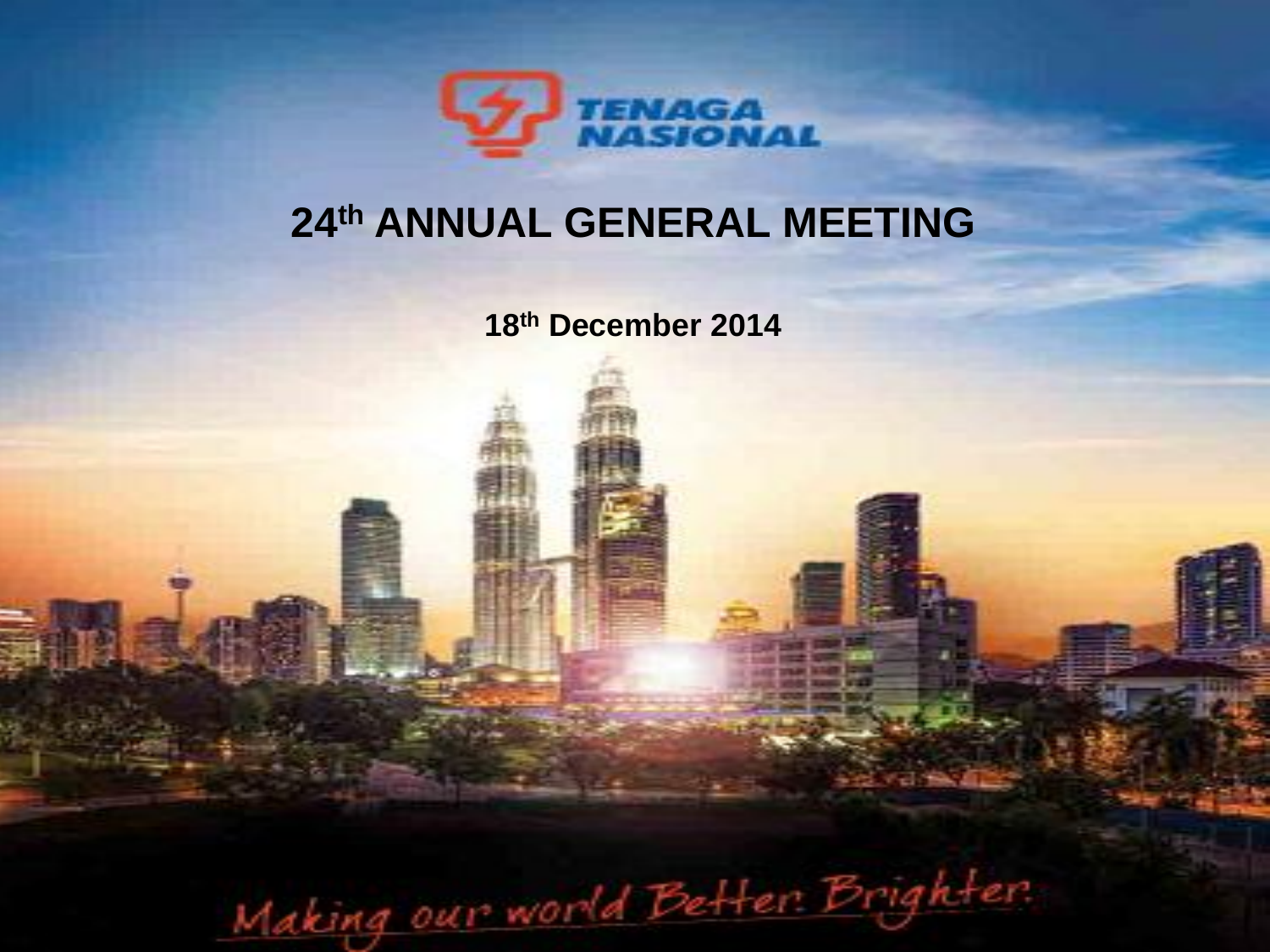

## **th ANNUAL GENERAL MEETING**

**th December 2014**

Making our world Better Brighter.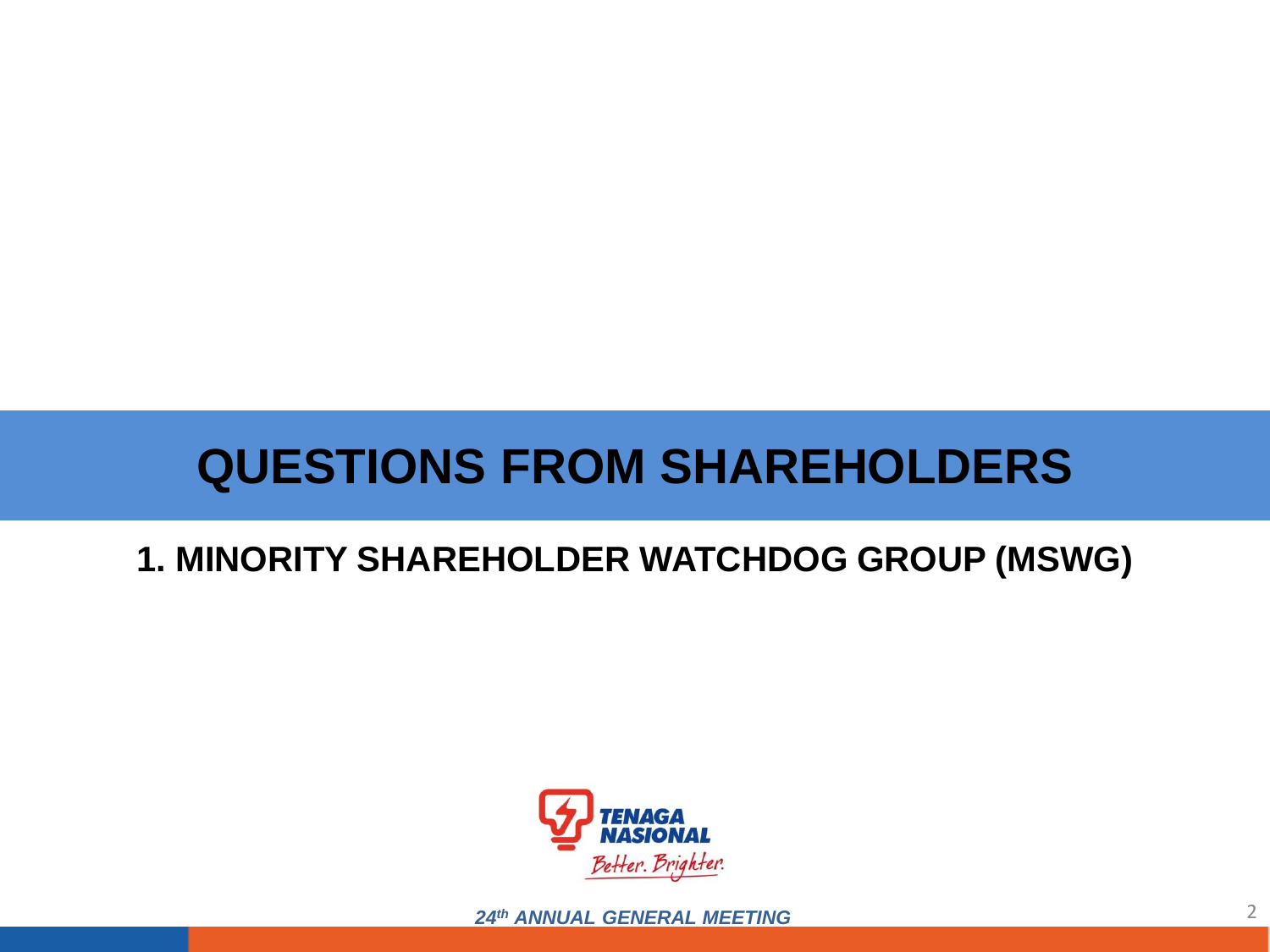# **QUESTIONS FROM SHAREHOLDERS**

### **1. MINORITY SHAREHOLDER WATCHDOG GROUP (MSWG)**



2 *24th ANNUAL GENERAL MEETING*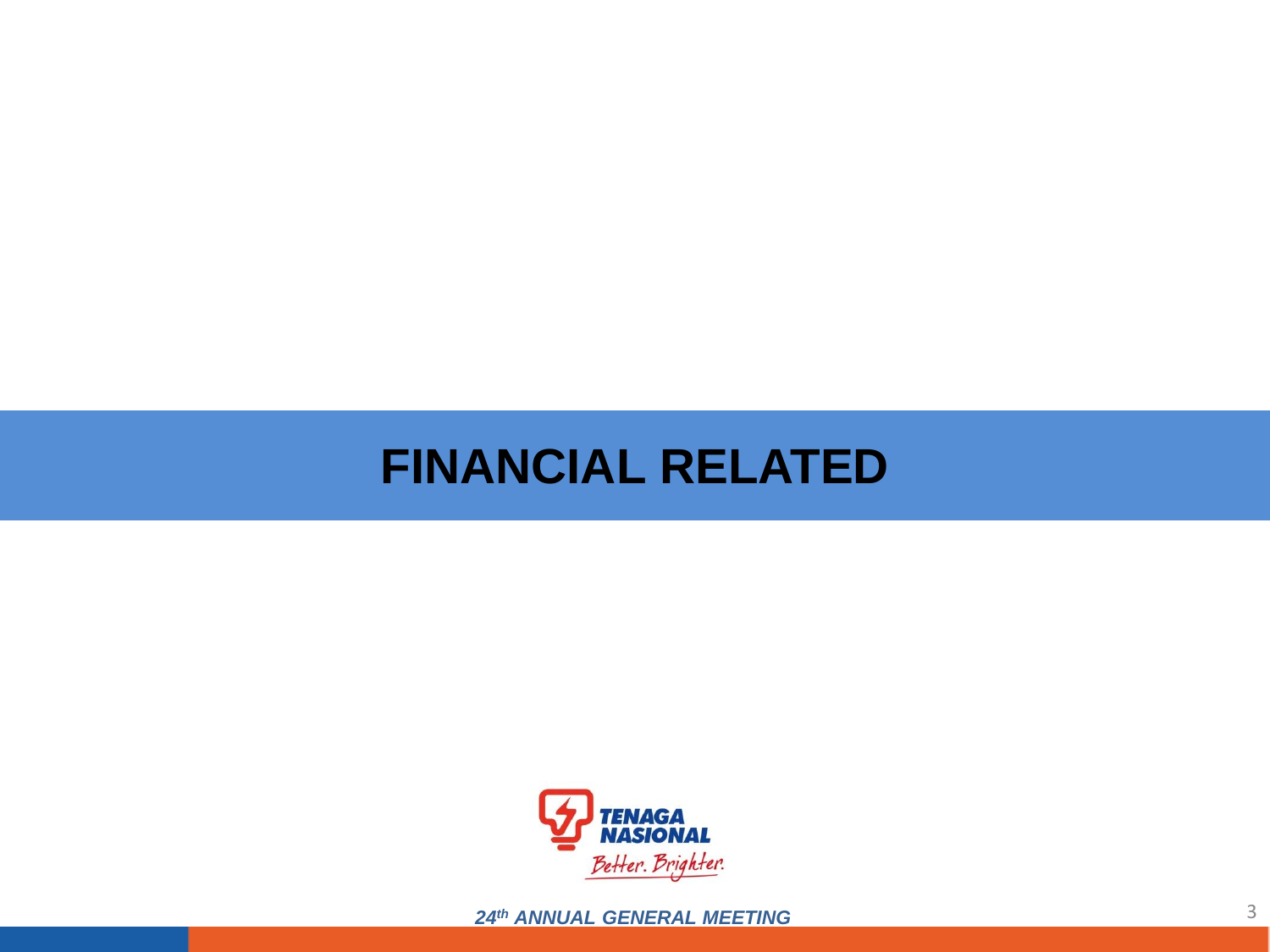## **FINANCIAL RELATED**



24th ANNUAL GENERAL MEETING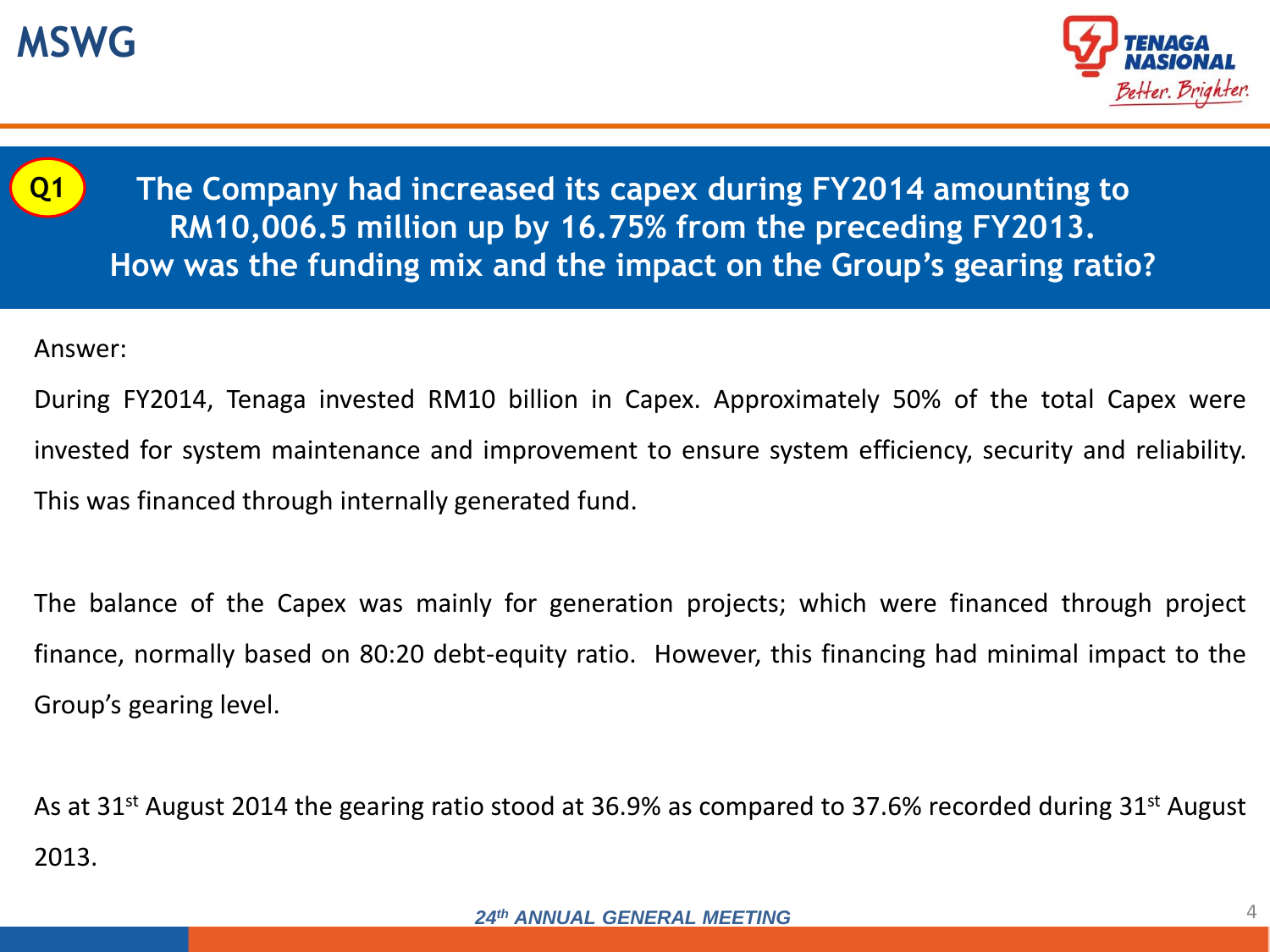



**Q1**

**The Company had increased its capex during FY2014 amounting to RM10,006.5 million up by 16.75% from the preceding FY2013. How was the funding mix and the impact on the Group's gearing ratio?**

Answer:

During FY2014, Tenaga invested RM10 billion in Capex. Approximately 50% of the total Capex were invested for system maintenance and improvement to ensure system efficiency, security and reliability. This was financed through internally generated fund.

The balance of the Capex was mainly for generation projects; which were financed through project finance, normally based on 80:20 debt-equity ratio. However, this financing had minimal impact to the Group's gearing level.

As at 31<sup>st</sup> August 2014 the gearing ratio stood at 36.9% as compared to 37.6% recorded during 31<sup>st</sup> August 2013.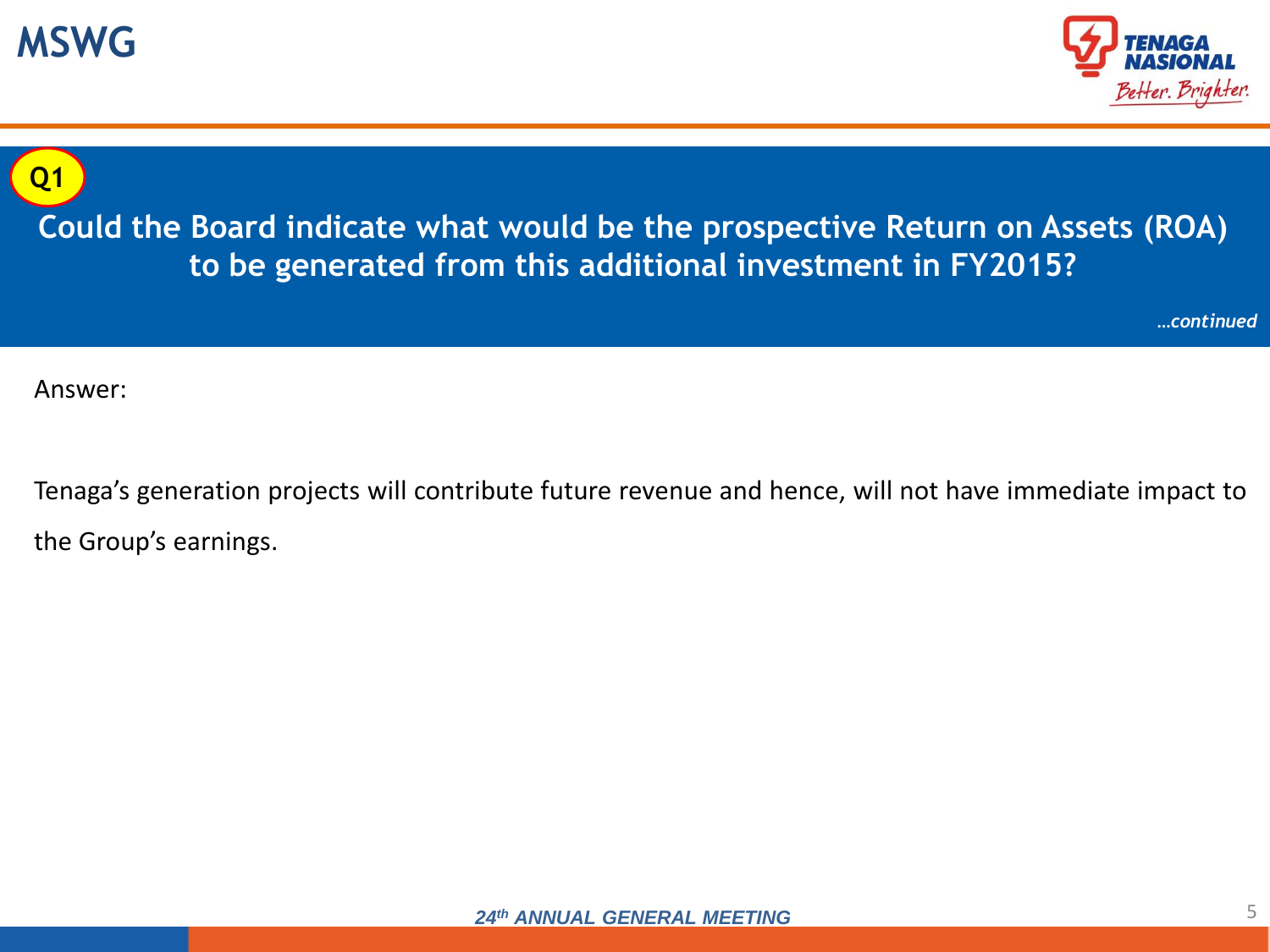





**Could the Board indicate what would be the prospective Return on Assets (ROA) to be generated from this additional investment in FY2015?**

*…continued*

Answer:

Tenaga's generation projects will contribute future revenue and hence, will not have immediate impact to the Group's earnings.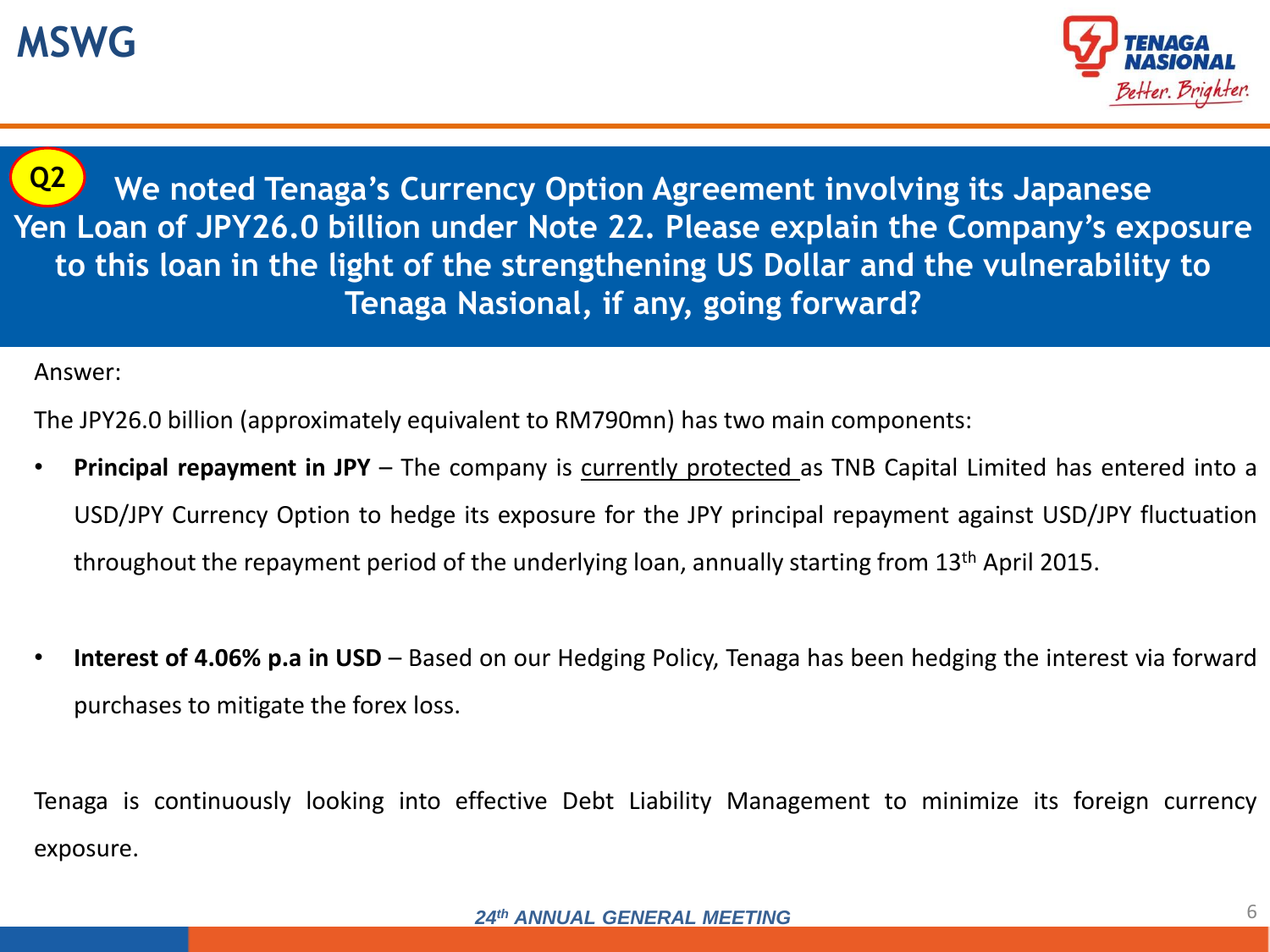

**Q2**

**We noted Tenaga's Currency Option Agreement involving its Japanese Yen Loan of JPY26.0 billion under Note 22. Please explain the Company's exposure to this loan in the light of the strengthening US Dollar and the vulnerability to Tenaga Nasional, if any, going forward?**

Answer:

The JPY26.0 billion (approximately equivalent to RM790mn) has two main components:

- **Principal repayment in JPY** The company is currently protected as TNB Capital Limited has entered into a USD/JPY Currency Option to hedge its exposure for the JPY principal repayment against USD/JPY fluctuation throughout the repayment period of the underlying loan, annually starting from 13th April 2015.
- **Interest of 4.06% p.a in USD** Based on our Hedging Policy, Tenaga has been hedging the interest via forward purchases to mitigate the forex loss.

Tenaga is continuously looking into effective Debt Liability Management to minimize its foreign currency exposure.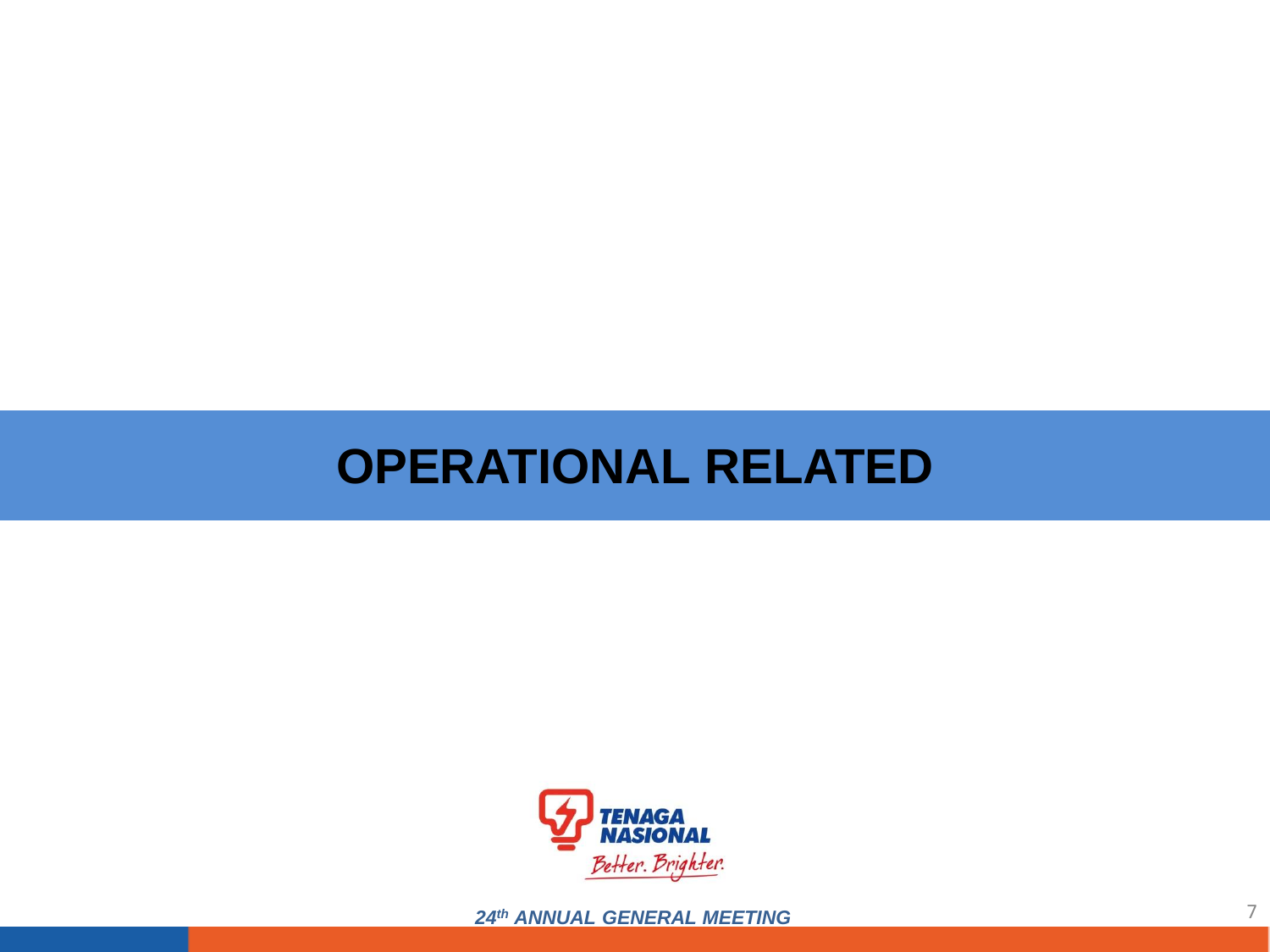## **OPERATIONAL RELATED**



24th ANNUAL GENERAL MEETING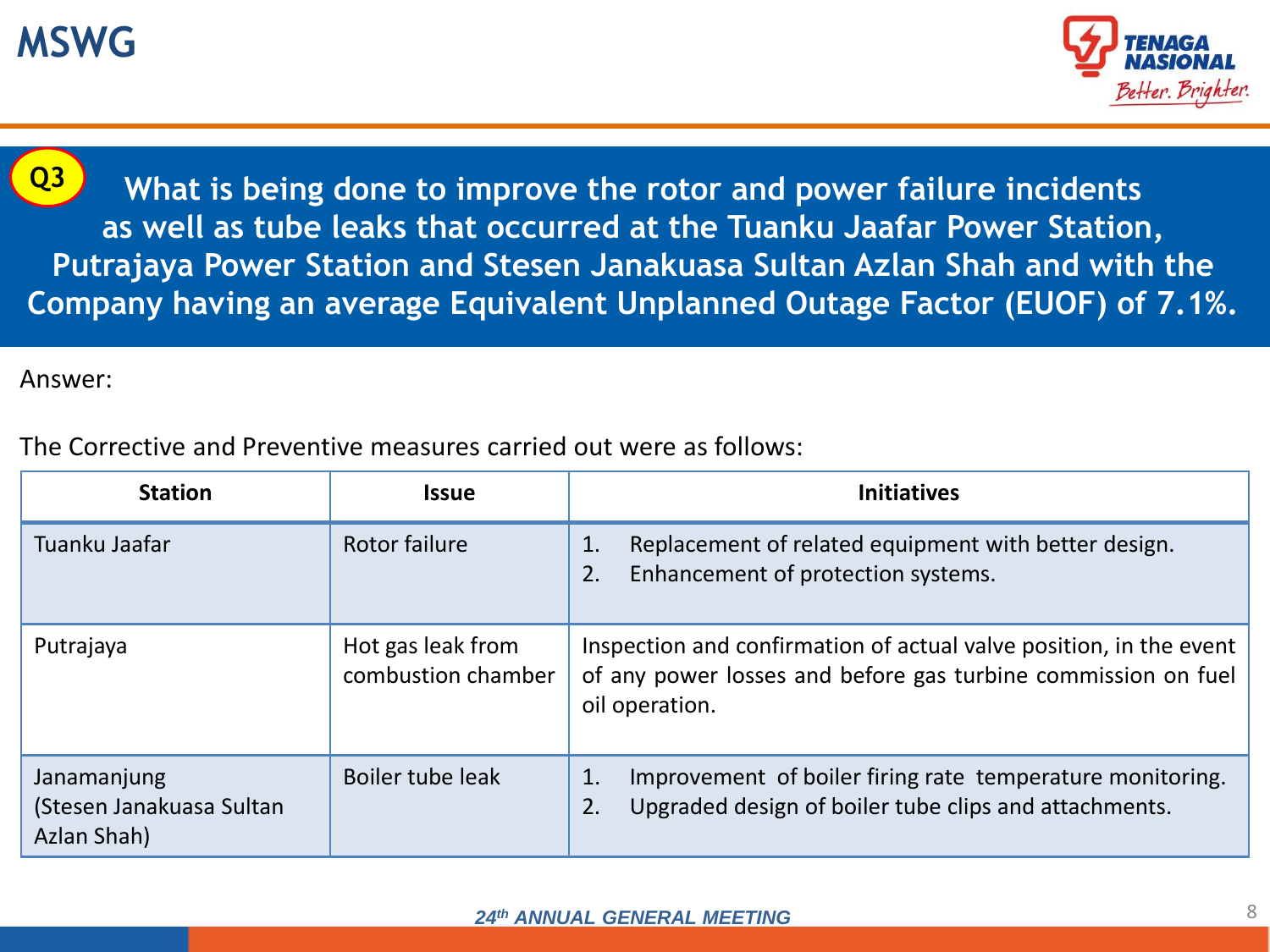### **MSWG**



**Q3**

**What is being done to improve the rotor and power failure incidents as well as tube leaks that occurred at the Tuanku Jaafar Power Station, Putrajaya Power Station and Stesen Janakuasa Sultan Azlan Shah and with the Company having an average Equivalent Unplanned Outage Factor (EUOF) of 7.1%.** 

Answer:

The Corrective and Preventive measures carried out were as follows:

| <b>Station</b>                                         | <b>Issue</b>                            | <b>Initiatives</b>                                                                                                                                    |
|--------------------------------------------------------|-----------------------------------------|-------------------------------------------------------------------------------------------------------------------------------------------------------|
| Tuanku Jaafar                                          | Rotor failure                           | Replacement of related equipment with better design.<br>$\mathbf{1}$ .<br>Enhancement of protection systems.<br>2.                                    |
| Putrajaya                                              | Hot gas leak from<br>combustion chamber | Inspection and confirmation of actual valve position, in the event<br>of any power losses and before gas turbine commission on fuel<br>oil operation. |
| Janamanjung<br>(Stesen Janakuasa Sultan<br>Azlan Shah) | Boiler tube leak                        | Improvement of boiler firing rate temperature monitoring.<br>1.<br>Upgraded design of boiler tube clips and attachments.<br>2.                        |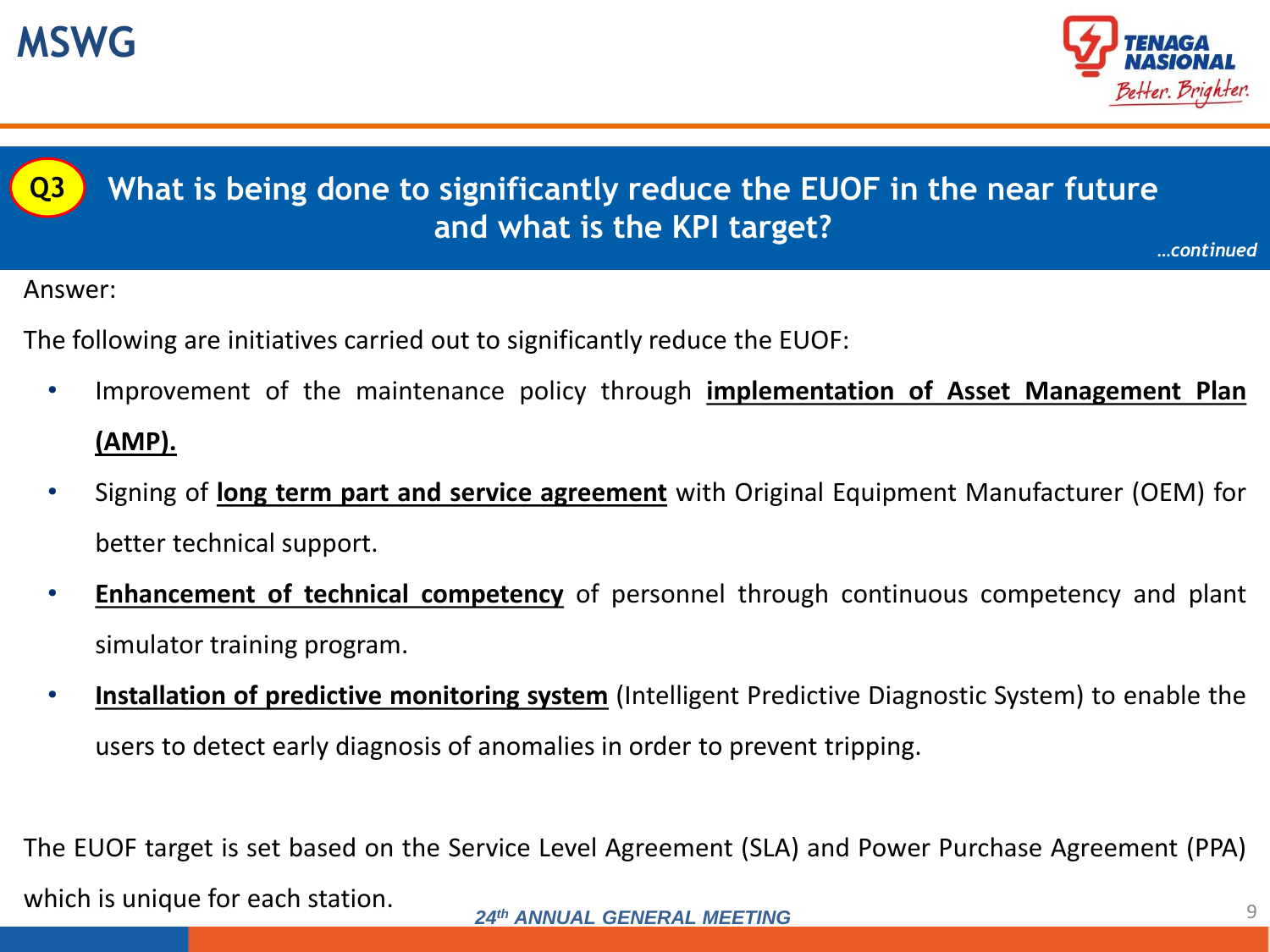



**What is being done to significantly reduce the EUOF in the near future and what is the KPI target?** *…continued*

Answer:

- The following are initiatives carried out to significantly reduce the EUOF:
	- Improvement of the maintenance policy through **implementation of Asset Management Plan (AMP).**
	- Signing of **long term part and service agreement** with Original Equipment Manufacturer (OEM) for better technical support.
	- **Enhancement of technical competency** of personnel through continuous competency and plant simulator training program.
	- **Installation of predictive monitoring system** (Intelligent Predictive Diagnostic System) to enable the users to detect early diagnosis of anomalies in order to prevent tripping.

9 *24th ANNUAL GENERAL MEETING* The EUOF target is set based on the Service Level Agreement (SLA) and Power Purchase Agreement (PPA) which is unique for each station.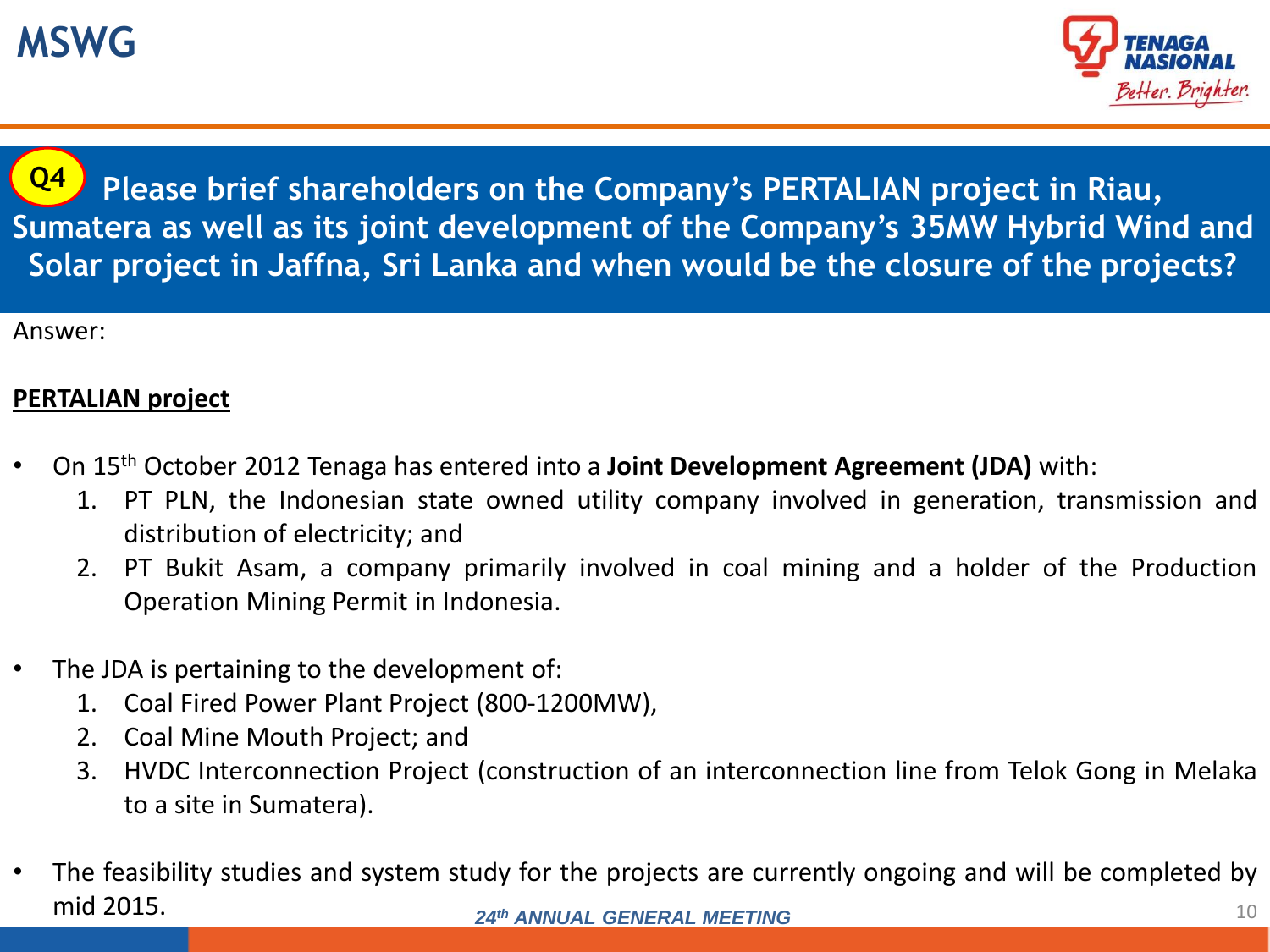

**Please brief shareholders on the Company's PERTALIAN project in Riau, Sumatera as well as its joint development of the Company's 35MW Hybrid Wind and Solar project in Jaffna, Sri Lanka and when would be the closure of the projects? Q4**

Answer:

#### **PERTALIAN project**

- On 15th October 2012 Tenaga has entered into a **Joint Development Agreement (JDA)** with:
	- 1. PT PLN, the Indonesian state owned utility company involved in generation, transmission and distribution of electricity; and
	- 2. PT Bukit Asam, a company primarily involved in coal mining and a holder of the Production Operation Mining Permit in Indonesia.
- The JDA is pertaining to the development of:
	- 1. Coal Fired Power Plant Project (800-1200MW),
	- 2. Coal Mine Mouth Project; and
	- 3. HVDC Interconnection Project (construction of an interconnection line from Telok Gong in Melaka to a site in Sumatera).
- 10 *24th ANNUAL GENERAL MEETING* • The feasibility studies and system study for the projects are currently ongoing and will be completed by mid 2015.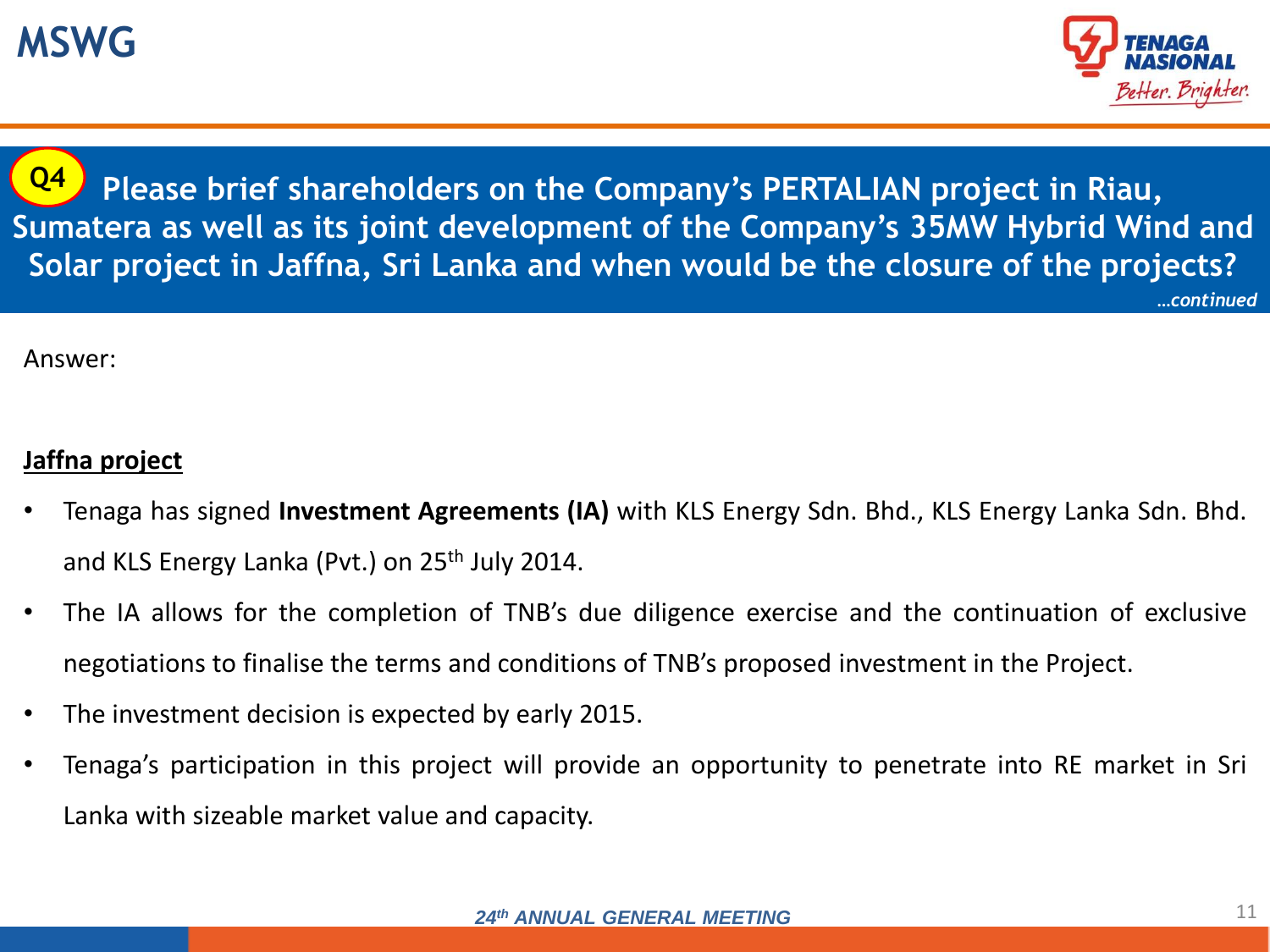

**Please brief shareholders on the Company's PERTALIAN project in Riau, Sumatera as well as its joint development of the Company's 35MW Hybrid Wind and Solar project in Jaffna, Sri Lanka and when would be the closure of the projects?** *…continued* **Q4**

Answer:

#### **Jaffna project**

- Tenaga has signed **Investment Agreements (IA)** with KLS Energy Sdn. Bhd., KLS Energy Lanka Sdn. Bhd. and KLS Energy Lanka (Pvt.) on 25th July 2014.
- The IA allows for the completion of TNB's due diligence exercise and the continuation of exclusive negotiations to finalise the terms and conditions of TNB's proposed investment in the Project.
- The investment decision is expected by early 2015.
- Tenaga's participation in this project will provide an opportunity to penetrate into RE market in Sri Lanka with sizeable market value and capacity.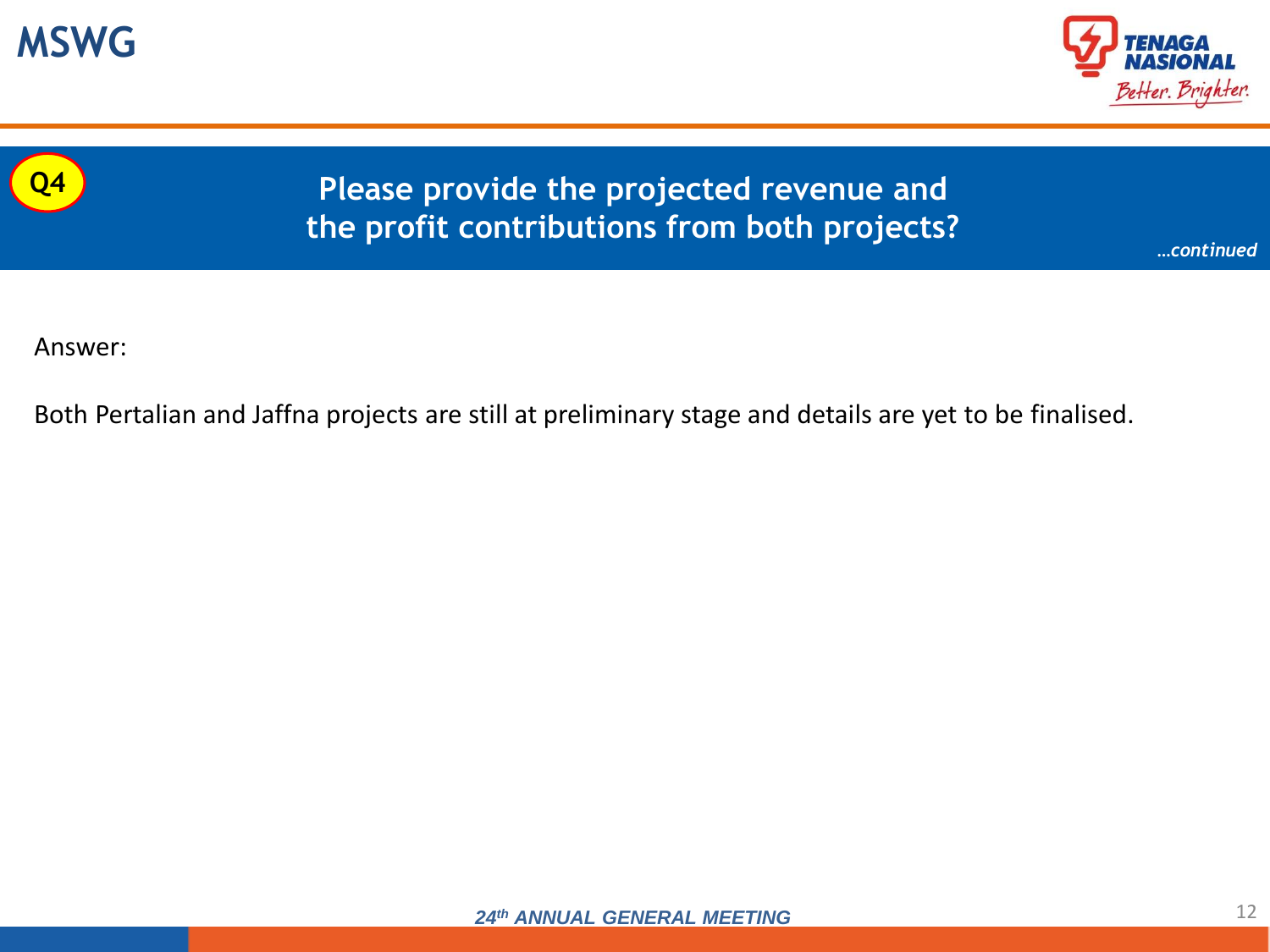





### **Please provide the projected revenue and the profit contributions from both projects?**

*…continued*

Answer:

Both Pertalian and Jaffna projects are still at preliminary stage and details are yet to be finalised.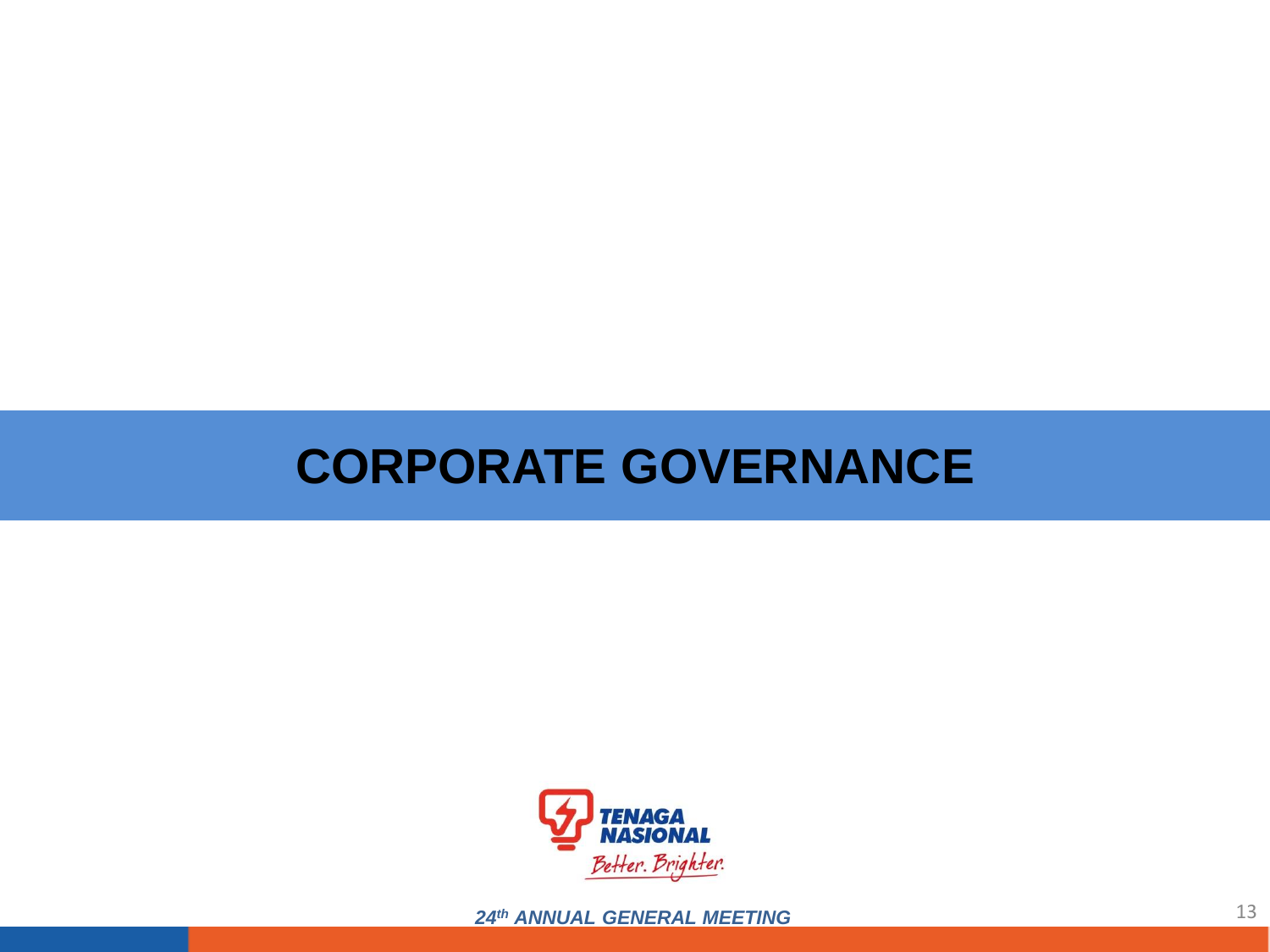## **CORPORATE GOVERNANCE**



24th ANNUAL GENERAL MEETING